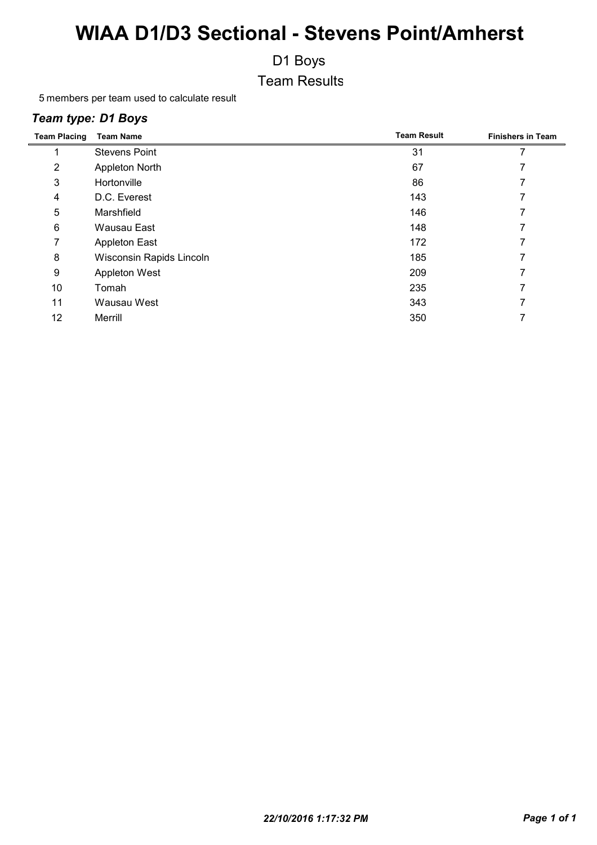D1 Boys

Team Results

members per team used to calculate result

#### *Team type: D1 Boys*

| <b>Team Placing</b> | <b>Team Name</b>         | <b>Team Result</b> | <b>Finishers in Team</b> |
|---------------------|--------------------------|--------------------|--------------------------|
|                     | <b>Stevens Point</b>     | 31                 |                          |
| $\overline{2}$      | Appleton North           | 67                 |                          |
| 3                   | Hortonville              | 86                 |                          |
| 4                   | D.C. Everest             | 143                |                          |
| 5                   | Marshfield               | 146                |                          |
| 6                   | Wausau East              | 148                |                          |
| 7                   | <b>Appleton East</b>     | 172                |                          |
| 8                   | Wisconsin Rapids Lincoln | 185                |                          |
| 9                   | Appleton West            | 209                |                          |
| 10                  | Tomah                    | 235                |                          |
| 11                  | Wausau West              | 343                | 7                        |
| 12                  | Merrill                  | 350                |                          |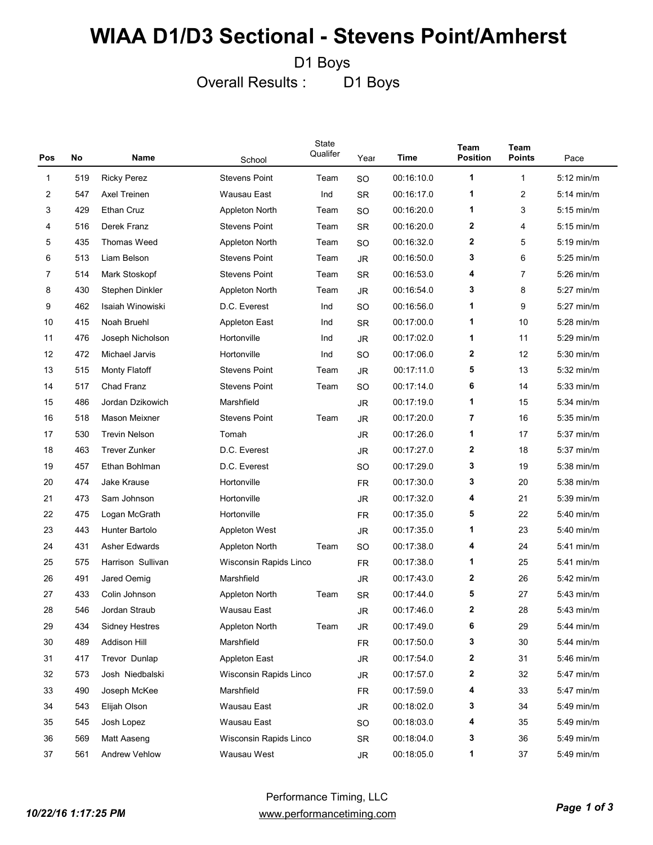D1 Boys

Overall Results : D1 Boys

| Pos          | No  | Name                  | School                 | State<br>Qualifer | Year      | Time       | Team<br><b>Position</b> | <b>Team</b><br><b>Points</b> | Pace         |
|--------------|-----|-----------------------|------------------------|-------------------|-----------|------------|-------------------------|------------------------------|--------------|
| $\mathbf{1}$ | 519 | <b>Ricky Perez</b>    | <b>Stevens Point</b>   | Team              | <b>SO</b> | 00:16:10.0 | 1                       | 1                            | $5:12$ min/m |
| 2            | 547 | Axel Treinen          | Wausau East            | Ind               | <b>SR</b> | 00:16:17.0 | 1                       | 2                            | $5:14$ min/m |
| 3            | 429 | <b>Ethan Cruz</b>     | Appleton North         | Team              | <b>SO</b> | 00:16:20.0 | 1                       | 3                            | $5:15$ min/m |
| 4            | 516 | Derek Franz           | <b>Stevens Point</b>   | Team              | <b>SR</b> | 00:16:20.0 | $\mathbf{2}$            | 4                            | $5:15$ min/m |
| 5            | 435 | Thomas Weed           | Appleton North         | Team              | <b>SO</b> | 00:16:32.0 | $\mathbf{2}$            | 5                            | $5:19$ min/m |
| 6            | 513 | Liam Belson           | <b>Stevens Point</b>   | Team              | <b>JR</b> | 00:16:50.0 | 3                       | 6                            | $5:25$ min/m |
| 7            | 514 | Mark Stoskopf         | <b>Stevens Point</b>   | Team              | <b>SR</b> | 00:16:53.0 | 4                       | 7                            | $5:26$ min/m |
| 8            | 430 | Stephen Dinkler       | Appleton North         | Team              | <b>JR</b> | 00:16:54.0 | 3                       | 8                            | $5:27$ min/m |
| 9            | 462 | Isaiah Winowiski      | D.C. Everest           | Ind               | <b>SO</b> | 00:16:56.0 | 1                       | 9                            | $5:27$ min/m |
| 10           | 415 | Noah Bruehl           | <b>Appleton East</b>   | Ind               | <b>SR</b> | 00:17:00.0 | 1                       | 10                           | $5:28$ min/m |
| 11           | 476 | Joseph Nicholson      | Hortonville            | Ind               | <b>JR</b> | 00:17:02.0 | 1                       | 11                           | $5:29$ min/m |
| 12           | 472 | Michael Jarvis        | Hortonville            | Ind               | <b>SO</b> | 00:17:06.0 | $\mathbf{2}$            | 12                           | $5:30$ min/m |
| 13           | 515 | <b>Monty Flatoff</b>  | <b>Stevens Point</b>   | Team              | <b>JR</b> | 00:17:11.0 | 5                       | 13                           | $5:32$ min/m |
| 14           | 517 | Chad Franz            | <b>Stevens Point</b>   | Team              | <b>SO</b> | 00:17:14.0 | 6                       | 14                           | $5:33$ min/m |
| 15           | 486 | Jordan Dzikowich      | Marshfield             |                   | JR        | 00:17:19.0 | 1                       | 15                           | $5:34$ min/m |
| 16           | 518 | Mason Meixner         | <b>Stevens Point</b>   | Team              | <b>JR</b> | 00:17:20.0 | 7                       | 16                           | $5:35$ min/m |
| 17           | 530 | <b>Trevin Nelson</b>  | Tomah                  |                   | <b>JR</b> | 00:17:26.0 | 1                       | 17                           | $5:37$ min/m |
| 18           | 463 | Trever Zunker         | D.C. Everest           |                   | <b>JR</b> | 00:17:27.0 | $\mathbf{2}$            | 18                           | $5:37$ min/m |
| 19           | 457 | Ethan Bohlman         | D.C. Everest           |                   | <b>SO</b> | 00:17:29.0 | 3                       | 19                           | $5:38$ min/m |
| 20           | 474 | Jake Krause           | Hortonville            |                   | <b>FR</b> | 00:17:30.0 | 3                       | 20                           | $5:38$ min/m |
| 21           | 473 | Sam Johnson           | Hortonville            |                   | <b>JR</b> | 00:17:32.0 | 4                       | 21                           | $5:39$ min/m |
| 22           | 475 | Logan McGrath         | Hortonville            |                   | <b>FR</b> | 00:17:35.0 | 5                       | 22                           | 5:40 min/m   |
| 23           | 443 | Hunter Bartolo        | <b>Appleton West</b>   |                   | <b>JR</b> | 00:17:35.0 | 1                       | 23                           | $5:40$ min/m |
| 24           | 431 | Asher Edwards         | Appleton North         | Team              | <b>SO</b> | 00:17:38.0 | 4                       | 24                           | $5:41$ min/m |
| 25           | 575 | Harrison Sullivan     | Wisconsin Rapids Linco |                   | <b>FR</b> | 00:17:38.0 | 1                       | 25                           | $5:41$ min/m |
| 26           | 491 | Jared Oemig           | Marshfield             |                   | <b>JR</b> | 00:17:43.0 | $\boldsymbol{2}$        | 26                           | $5:42$ min/m |
| 27           | 433 | Colin Johnson         | Appleton North         | Team              | <b>SR</b> | 00:17:44.0 | 5                       | 27                           | $5:43$ min/m |
| 28           | 546 | Jordan Straub         | Wausau East            |                   | JR        | 00:17:46.0 | $\mathbf{2}$            | 28                           | $5:43$ min/m |
| 29           | 434 | <b>Sidney Hestres</b> | Appleton North         | Team              | JR        | 00:17:49.0 | 6                       | 29                           | 5:44 min/m   |
| 30           | 489 | Addison Hill          | Marshfield             |                   | FR        | 00:17:50.0 | 3                       | 30                           | 5:44 min/m   |
| 31           | 417 | Trevor Dunlap         | <b>Appleton East</b>   |                   | JR        | 00:17:54.0 | 2                       | 31                           | 5:46 min/m   |
| 32           | 573 | Josh Niedbalski       | Wisconsin Rapids Linco |                   | JR        | 00:17:57.0 | $\mathbf 2$             | 32                           | 5:47 min/m   |
| 33           | 490 | Joseph McKee          | Marshfield             |                   | FR        | 00:17:59.0 | 4                       | 33                           | $5:47$ min/m |
| 34           | 543 | Elijah Olson          | Wausau East            |                   | JR        | 00:18:02.0 | 3                       | 34                           | 5:49 min/m   |
| 35           | 545 | Josh Lopez            | Wausau East            |                   | SO.       | 00:18:03.0 | 4                       | 35                           | 5:49 min/m   |
| 36           | 569 | Matt Aaseng           | Wisconsin Rapids Linco |                   | SR        | 00:18:04.0 | 3                       | 36                           | 5:49 min/m   |
| 37           | 561 | <b>Andrew Vehlow</b>  | Wausau West            |                   | JR        | 00:18:05.0 | 1                       | 37                           | 5:49 min/m   |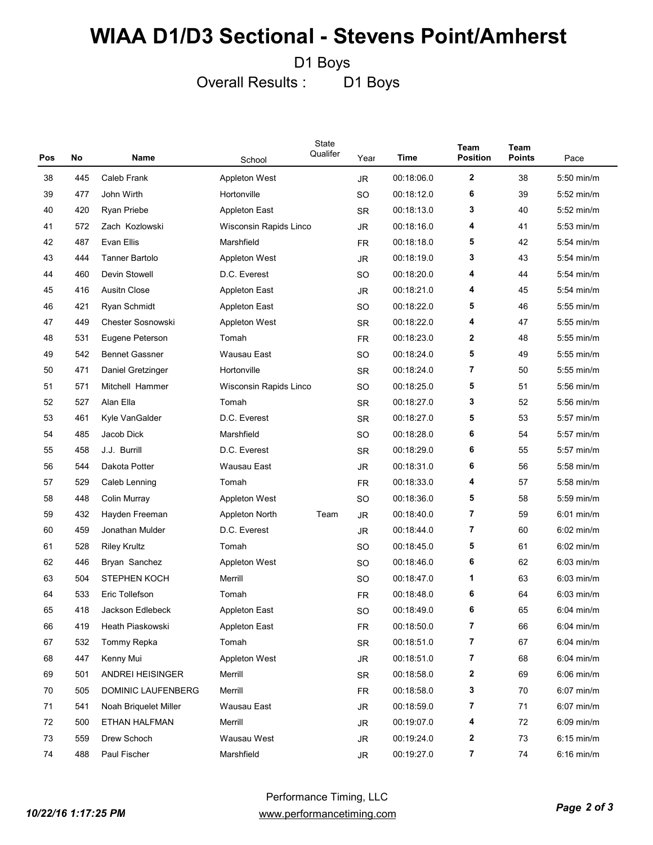D1 Boys

Overall Results : D1 Boys

|     |     |                          |                        | State<br>Qualifer |           |             | <b>Team</b>     | Team          |              |
|-----|-----|--------------------------|------------------------|-------------------|-----------|-------------|-----------------|---------------|--------------|
| Pos | No  | Name                     | School                 |                   | Year      | <b>Time</b> | <b>Position</b> | <b>Points</b> | Pace         |
| 38  | 445 | Caleb Frank              | Appleton West          |                   | JR.       | 00:18:06.0  | 2               | 38            | 5:50 min/m   |
| 39  | 477 | John Wirth               | Hortonville            |                   | SO        | 00:18:12.0  | 6               | 39            | 5:52 min/m   |
| 40  | 420 | Ryan Priebe              | <b>Appleton East</b>   |                   | <b>SR</b> | 00:18:13.0  | 3               | 40            | $5:52$ min/m |
| 41  | 572 | Zach Kozlowski           | Wisconsin Rapids Linco |                   | <b>JR</b> | 00:18:16.0  | 4               | 41            | $5:53$ min/m |
| 42  | 487 | Evan Ellis               | Marshfield             |                   | <b>FR</b> | 00:18:18.0  | 5               | 42            | $5:54$ min/m |
| 43  | 444 | <b>Tanner Bartolo</b>    | <b>Appleton West</b>   |                   | <b>JR</b> | 00:18:19.0  | 3               | 43            | $5:54$ min/m |
| 44  | 460 | Devin Stowell            | D.C. Everest           |                   | SO        | 00:18:20.0  | 4               | 44            | $5:54$ min/m |
| 45  | 416 | <b>Ausitn Close</b>      | Appleton East          |                   | <b>JR</b> | 00:18:21.0  | 4               | 45            | $5:54$ min/m |
| 46  | 421 | Ryan Schmidt             | <b>Appleton East</b>   |                   | SO        | 00:18:22.0  | 5               | 46            | $5:55$ min/m |
| 47  | 449 | <b>Chester Sosnowski</b> | <b>Appleton West</b>   |                   | <b>SR</b> | 00:18:22.0  | 4               | 47            | $5:55$ min/m |
| 48  | 531 | Eugene Peterson          | Tomah                  |                   | <b>FR</b> | 00:18:23.0  | 2               | 48            | $5:55$ min/m |
| 49  | 542 | <b>Bennet Gassner</b>    | Wausau East            |                   | SO        | 00:18:24.0  | 5               | 49            | $5:55$ min/m |
| 50  | 471 | Daniel Gretzinger        | Hortonville            |                   | <b>SR</b> | 00:18:24.0  | 7               | 50            | $5:55$ min/m |
| 51  | 571 | Mitchell Hammer          | Wisconsin Rapids Linco |                   | SO        | 00:18:25.0  | 5               | 51            | $5:56$ min/m |
| 52  | 527 | Alan Ella                | Tomah                  |                   | <b>SR</b> | 00:18:27.0  | 3               | 52            | $5:56$ min/m |
| 53  | 461 | Kyle VanGalder           | D.C. Everest           |                   | <b>SR</b> | 00:18:27.0  | 5               | 53            | 5:57 min/m   |
| 54  | 485 | Jacob Dick               | Marshfield             |                   | SO        | 00:18:28.0  | 6               | 54            | 5:57 min/m   |
| 55  | 458 | J.J. Burrill             | D.C. Everest           |                   | <b>SR</b> | 00:18:29.0  | 6               | 55            | 5:57 min/m   |
| 56  | 544 | Dakota Potter            | Wausau East            |                   | JR        | 00:18:31.0  | 6               | 56            | $5:58$ min/m |
| 57  | 529 | Caleb Lenning            | Tomah                  |                   | <b>FR</b> | 00:18:33.0  | 4               | 57            | 5:58 min/m   |
| 58  | 448 | Colin Murray             | <b>Appleton West</b>   |                   | <b>SO</b> | 00:18:36.0  | 5               | 58            | 5:59 min/m   |
| 59  | 432 | Hayden Freeman           | <b>Appleton North</b>  | Team              | <b>JR</b> | 00:18:40.0  | 7               | 59            | $6:01$ min/m |
| 60  | 459 | Jonathan Mulder          | D.C. Everest           |                   | JR.       | 00:18:44.0  | 7               | 60            | $6:02$ min/m |
| 61  | 528 | <b>Riley Krultz</b>      | Tomah                  |                   | SO        | 00:18:45.0  | 5               | 61            | $6:02$ min/m |
| 62  | 446 | Bryan Sanchez            | <b>Appleton West</b>   |                   | SO        | 00:18:46.0  | 6               | 62            | $6:03$ min/m |
| 63  | 504 | STEPHEN KOCH             | Merrill                |                   | SO        | 00:18:47.0  | 1               | 63            | $6:03$ min/m |
| 64  | 533 | Eric Tollefson           | Tomah                  |                   | FR        | 00:18:48.0  | 6               | 64            | $6:03$ min/m |
| 65  | 418 | Jackson Edlebeck         | <b>Appleton East</b>   |                   | <b>SO</b> | 00:18:49.0  | 6               | 65            | $6:04$ min/m |
| 66  | 419 | Heath Piaskowski         | Appleton East          |                   | <b>FR</b> | 00:18:50.0  | 7               | 66            | 6:04 min/m   |
| 67  | 532 | Tommy Repka              | Tomah                  |                   | <b>SR</b> | 00:18:51.0  | 7               | 67            | $6:04$ min/m |
| 68  | 447 | Kenny Mui                | <b>Appleton West</b>   |                   | JR        | 00:18:51.0  | 7               | 68            | $6:04$ min/m |
| 69  | 501 | ANDREI HEISINGER         | Merrill                |                   | SR        | 00:18:58.0  | 2               | 69            | $6:06$ min/m |
| 70  | 505 | DOMINIC LAUFENBERG       | Merrill                |                   | <b>FR</b> | 00:18:58.0  | 3               | 70            | $6:07$ min/m |
| 71  | 541 | Noah Briquelet Miller    | Wausau East            |                   | JR        | 00:18:59.0  | 7               | 71            | $6:07$ min/m |
| 72  | 500 | ETHAN HALFMAN            | Merrill                |                   | JR        | 00:19:07.0  | 4               | 72            | $6:09$ min/m |
| 73  | 559 | Drew Schoch              | Wausau West            |                   | JR        | 00:19:24.0  | 2               | 73            | 6:15 min/m   |
| 74  | 488 | Paul Fischer             | Marshfield             |                   | JR        | 00:19:27.0  | 7               | 74            | 6:16 min/m   |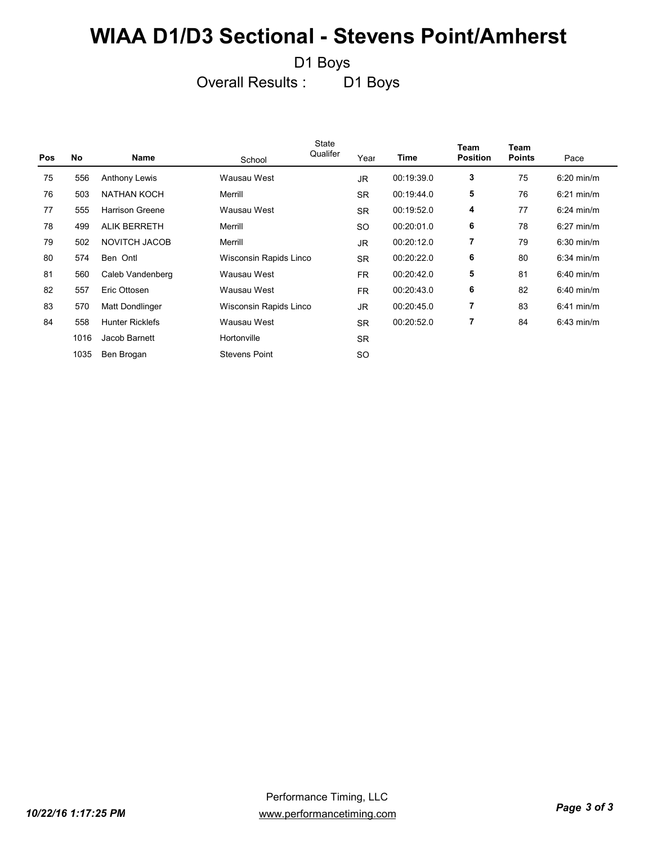D1 Boys

Overall Results : D1 Boys

| <b>No</b> | Name                   | School               | State<br>Qualifer | Year                                             | Time       | <b>Team</b><br><b>Position</b> | Team<br><b>Points</b> | Pace                 |
|-----------|------------------------|----------------------|-------------------|--------------------------------------------------|------------|--------------------------------|-----------------------|----------------------|
| 556       | <b>Anthony Lewis</b>   | Wausau West          |                   | <b>JR</b>                                        | 00:19:39.0 | 3                              | 75                    | $6:20$ min/m         |
| 503       | <b>NATHAN KOCH</b>     | Merrill              |                   | <b>SR</b>                                        | 00:19:44.0 | 5                              | 76                    | $6:21 \text{ min/m}$ |
| 555       | <b>Harrison Greene</b> | Wausau West          |                   | <b>SR</b>                                        | 00:19:52.0 | 4                              | 77                    | $6:24$ min/m         |
| 499       | <b>ALIK BERRETH</b>    | Merrill              |                   | SO                                               | 00:20:01.0 | 6                              | 78                    | $6:27$ min/m         |
| 502       | NOVITCH JACOB          | Merrill              |                   | JR.                                              | 00:20:12.0 | $\overline{7}$                 | 79                    | $6:30$ min/m         |
| 574       | Ben Ontl               |                      |                   | <b>SR</b>                                        | 00:20:22.0 | 6                              | 80                    | $6:34$ min/m         |
| 560       | Caleb Vandenberg       | Wausau West          |                   | FR.                                              | 00:20:42.0 | 5                              | 81                    | $6:40$ min/m         |
| 557       | Eric Ottosen           | Wausau West          |                   | FR.                                              | 00:20:43.0 | 6                              | 82                    | $6:40$ min/m         |
| 570       | Matt Dondlinger        |                      |                   | <b>JR</b>                                        | 00:20:45.0 | $\overline{7}$                 | 83                    | $6:41$ min/m         |
| 558       | <b>Hunter Ricklefs</b> | Wausau West          |                   | <b>SR</b>                                        | 00:20:52.0 | $\overline{7}$                 | 84                    | $6:43$ min/m         |
| 1016      | Jacob Barnett          | Hortonville          |                   | <b>SR</b>                                        |            |                                |                       |                      |
| 1035      | Ben Brogan             | <b>Stevens Point</b> |                   | <b>SO</b>                                        |            |                                |                       |                      |
|           |                        |                      |                   | Wisconsin Rapids Linco<br>Wisconsin Rapids Linco |            |                                |                       |                      |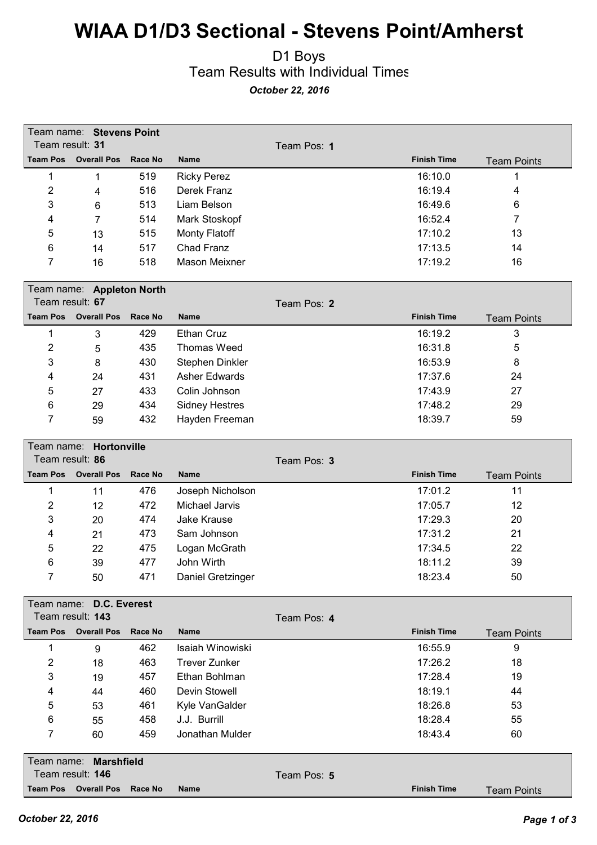#### D1 Boys Team Results with Individual Times *October 22, 2016*

|                                    | Team name: Stevens Point              |                |                       |             |                    |                    |
|------------------------------------|---------------------------------------|----------------|-----------------------|-------------|--------------------|--------------------|
| Team result: 31<br><b>Team Pos</b> | <b>Overall Pos</b>                    | <b>Race No</b> |                       | Team Pos: 1 | <b>Finish Time</b> |                    |
|                                    |                                       |                | <b>Name</b>           |             |                    | <b>Team Points</b> |
| 1                                  | $\mathbf{1}$                          | 519            | <b>Ricky Perez</b>    |             | 16:10.0            | 1                  |
| $\overline{2}$                     | 4                                     | 516            | Derek Franz           |             | 16:19.4            | 4                  |
| 3                                  | 6                                     | 513            | Liam Belson           |             | 16:49.6            | 6                  |
| 4                                  | 7                                     | 514            | Mark Stoskopf         |             | 16:52.4            | $\overline{7}$     |
| 5                                  | 13                                    | 515            | <b>Monty Flatoff</b>  |             | 17:10.2            | 13                 |
| 6                                  | 14                                    | 517            | <b>Chad Franz</b>     |             | 17:13.5            | 14                 |
| 7                                  | 16                                    | 518            | <b>Mason Meixner</b>  |             | 17:19.2            | 16                 |
|                                    | Team name: Appleton North             |                |                       |             |                    |                    |
| Team result: 67                    |                                       |                |                       | Team Pos: 2 |                    |                    |
| <b>Team Pos</b>                    | <b>Overall Pos</b>                    | <b>Race No</b> | <b>Name</b>           |             | <b>Finish Time</b> | <b>Team Points</b> |
| 1                                  | 3                                     | 429            | <b>Ethan Cruz</b>     |             | 16:19.2            | 3                  |
| $\overline{2}$                     | 5                                     | 435            | <b>Thomas Weed</b>    |             | 16:31.8            | 5                  |
| 3                                  | 8                                     | 430            | Stephen Dinkler       |             | 16:53.9            | 8                  |
| 4                                  | 24                                    | 431            | <b>Asher Edwards</b>  |             | 17:37.6            | 24                 |
| 5                                  | 27                                    | 433            | Colin Johnson         |             | 17:43.9            | 27                 |
| 6                                  | 29                                    | 434            | <b>Sidney Hestres</b> |             | 17:48.2            | 29                 |
| 7                                  | 59                                    | 432            | Hayden Freeman        |             | 18:39.7            | 59                 |
|                                    |                                       |                |                       |             |                    |                    |
| Team name:                         | Hortonville                           |                |                       |             |                    |                    |
| Team result: 86<br><b>Team Pos</b> | <b>Overall Pos</b>                    | Race No        | <b>Name</b>           | Team Pos: 3 | <b>Finish Time</b> |                    |
|                                    |                                       |                |                       |             |                    | <b>Team Points</b> |
| 1                                  | 11                                    | 476            | Joseph Nicholson      |             | 17:01.2            | 11                 |
| 2                                  | 12                                    | 472            | Michael Jarvis        |             | 17:05.7            | 12                 |
| 3                                  | 20                                    | 474            | Jake Krause           |             | 17:29.3            | 20                 |
| 4                                  | 21                                    | 473            | Sam Johnson           |             | 17:31.2            | 21                 |
| 5                                  | 22                                    | 475            | Logan McGrath         |             | 17:34.5            | 22                 |
| 6                                  | 39                                    | 477            | John Wirth            |             | 18:11.2            | 39                 |
| 7                                  | 50                                    | 471            | Daniel Gretzinger     |             | 18:23.4            | 50                 |
|                                    | Team name: D.C. Everest               |                |                       |             |                    |                    |
|                                    | Team result: 143                      |                |                       | Team Pos: 4 |                    |                    |
| <b>Team Pos</b>                    | <b>Overall Pos</b>                    | <b>Race No</b> | <b>Name</b>           |             | <b>Finish Time</b> | <b>Team Points</b> |
| 1                                  | 9                                     | 462            | Isaiah Winowiski      |             | 16:55.9            | 9                  |
| $\overline{2}$                     | 18                                    | 463            | <b>Trever Zunker</b>  |             | 17:26.2            | 18                 |
| 3                                  | 19                                    | 457            | Ethan Bohlman         |             | 17:28.4            | 19                 |
| 4                                  | 44                                    | 460            | Devin Stowell         |             | 18:19.1            | 44                 |
| 5                                  | 53                                    | 461            | Kyle VanGalder        |             | 18:26.8            | 53                 |
| 6                                  | 55                                    | 458            | J.J. Burrill          |             | 18:28.4            | 55                 |
| 7                                  | 60                                    | 459            | Jonathan Mulder       |             | 18:43.4            | 60                 |
|                                    |                                       |                |                       |             |                    |                    |
| Team name:                         | <b>Marshfield</b><br>Team result: 146 |                |                       |             |                    |                    |
|                                    |                                       |                |                       | Team Pos: 5 |                    |                    |
|                                    | <b>Team Pos Overall Pos</b>           | Race No        | Name                  |             | <b>Finish Time</b> | <b>Team Points</b> |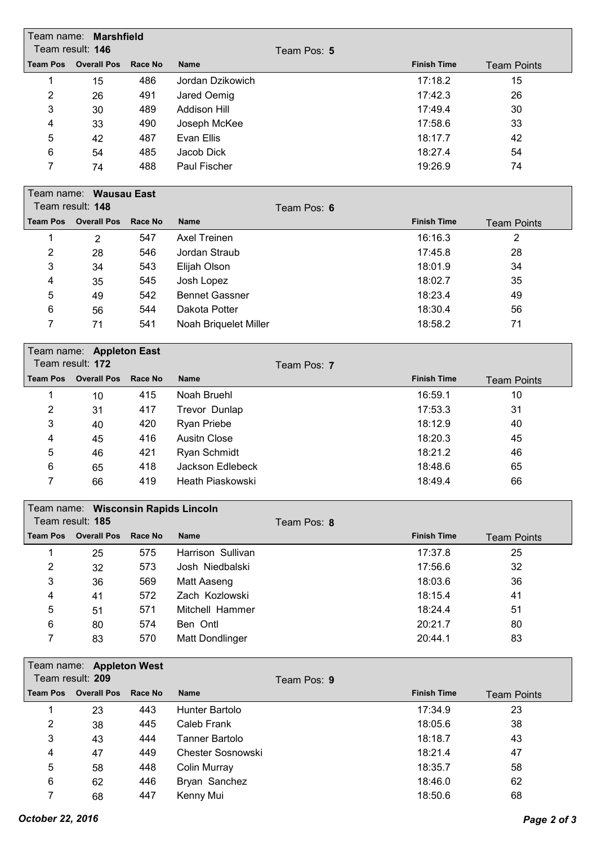|                 | Team name: <b>Marshfield</b><br>Team result: 146 |         | Team Pos: 5         |                    |                    |
|-----------------|--------------------------------------------------|---------|---------------------|--------------------|--------------------|
| <b>Team Pos</b> | <b>Overall Pos</b>                               | Race No | <b>Name</b>         | <b>Finish Time</b> | <b>Team Points</b> |
|                 | 15                                               | 486     | Jordan Dzikowich    | 17:18.2            | 15                 |
| 2               | 26                                               | 491     | Jared Oemig         | 17:42.3            | 26                 |
| 3               | 30                                               | 489     | <b>Addison Hill</b> | 17:49.4            | 30                 |
| 4               | 33                                               | 490     | Joseph McKee        | 17:58.6            | 33                 |
| 5               | 42                                               | 487     | Evan Ellis          | 18:17.7            | 42                 |
| 6               | 54                                               | 485     | Jacob Dick          | 18:27.4            | 54                 |
| 7               | 74                                               | 488     | Paul Fischer        | 19:26.9            | 74                 |
|                 | Team name: Wausau East                           |         |                     |                    |                    |
|                 | Team result: 148                                 |         | Team Pos: 6         |                    |                    |
|                 | Team Pos Overall Pos Race No                     |         | <b>Name</b>         | <b>Finish Time</b> | Toom Dointe        |

| <b>Team Pos</b> | <b>Overall Pos</b> | Race No | <b>Name</b>           | <b>Finish Time</b> | <b>Team Points</b> |
|-----------------|--------------------|---------|-----------------------|--------------------|--------------------|
|                 | 2                  | 547     | <b>Axel Treinen</b>   | 16:16.3            | 2                  |
| 2               | 28                 | 546     | Jordan Straub         | 17:45.8            | 28                 |
| 3               | 34                 | 543     | Elijah Olson          | 18:01.9            | 34                 |
| 4               | 35                 | 545     | Josh Lopez            | 18:02.7            | 35                 |
| 5               | 49                 | 542     | <b>Bennet Gassner</b> | 18:23.4            | 49                 |
| 6               | 56                 | 544     | Dakota Potter         | 18:30.4            | 56                 |
|                 | 71                 | 541     | Noah Briquelet Miller | 18:58.2            | 71                 |

|                 | Team name: Appleton East<br>Team result: 172 |         | Team Pos: 7      |                    |                    |
|-----------------|----------------------------------------------|---------|------------------|--------------------|--------------------|
| <b>Team Pos</b> | <b>Overall Pos</b>                           | Race No | <b>Name</b>      | <b>Finish Time</b> | <b>Team Points</b> |
|                 | 10                                           | 415     | Noah Bruehl      | 16:59.1            | 10                 |
| $\overline{2}$  | 31                                           | 417     | Trevor Dunlap    | 17:53.3            | 31                 |
| 3               | 40                                           | 420     | Ryan Priebe      | 18:12.9            | 40                 |
| 4               | 45                                           | 416     | Ausith Close     | 18:20.3            | 45                 |
| 5               | 46                                           | 421     | Ryan Schmidt     | 18:21.2            | 46                 |
| 6               | 65                                           | 418     | Jackson Edlebeck | 18:48.6            | 65                 |
| 7               | 66                                           | 419     | Heath Piaskowski | 18:49.4            | 66                 |

|                 | Team name: Wisconsin Rapids Lincoln |         |                   |             |                    |                    |
|-----------------|-------------------------------------|---------|-------------------|-------------|--------------------|--------------------|
|                 | Team result: 185                    |         |                   | Team Pos: 8 |                    |                    |
| <b>Team Pos</b> | <b>Overall Pos</b>                  | Race No | <b>Name</b>       |             | <b>Finish Time</b> | <b>Team Points</b> |
|                 | 25                                  | 575     | Harrison Sullivan |             | 17:37.8            | 25                 |
| 2               | 32                                  | 573     | Josh Niedbalski   |             | 17:56.6            | 32                 |
| 3               | 36                                  | 569     | Matt Aaseng       |             | 18:03.6            | 36                 |
| 4               | 41                                  | 572     | Zach Kozlowski    |             | 18:15.4            | 41                 |
| 5               | 51                                  | 571     | Mitchell Hammer   |             | 18:24.4            | 51                 |
| 6               | 80                                  | 574     | Ben Ontl          |             | 20:21.7            | 80                 |
|                 | 83                                  | 570     | Matt Dondlinger   |             | 20:44.1            | 83                 |

|   | Team name: Appleton West     |     |                          |             |                    |                    |
|---|------------------------------|-----|--------------------------|-------------|--------------------|--------------------|
|   | Team result: 209             |     |                          | Team Pos: 9 |                    |                    |
|   | Team Pos Overall Pos Race No |     | <b>Name</b>              |             | <b>Finish Time</b> | <b>Team Points</b> |
|   | 23                           | 443 | Hunter Bartolo           |             | 17:34.9            | 23                 |
| 2 | 38                           | 445 | Caleb Frank              |             | 18:05.6            | 38                 |
| 3 | 43                           | 444 | Tanner Bartolo           |             | 18:18.7            | 43                 |
| 4 | 47                           | 449 | <b>Chester Sosnowski</b> |             | 18:21.4            | 47                 |
| 5 | 58                           | 448 | Colin Murray             |             | 18:35.7            | 58                 |
| 6 | 62                           | 446 | Bryan Sanchez            |             | 18:46.0            | 62                 |
| 7 | 68                           | 447 | Kenny Mui                |             | 18:50.6            | 68                 |